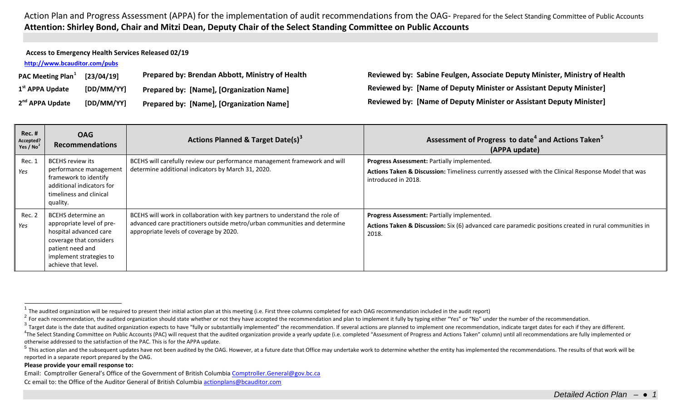Action Plan and Progress Assessment (APPA) for the implementation of audit recommendations from the OAG- Prepared for the Select Standing Committee of Public Accounts **Attention: Shirley Bond, Chair and Mitzi Dean, Deputy Chair of the Select Standing Committee on Public Accounts**

| Access to Emergency Health Services Released 02/19 |                               |            |                                                 |              |  |
|----------------------------------------------------|-------------------------------|------------|-------------------------------------------------|--------------|--|
| http://www.bcauditor.com/pubs                      |                               |            |                                                 |              |  |
|                                                    | PAC Meeting Plan <sup>1</sup> | [23/04/19] | Prepared by: Brendan Abbott, Ministry of Health | Revie        |  |
|                                                    | 1 <sup>st</sup> APPA Update   | [DD/MM/YY] | Prepared by: [Name], [Organization Name]        | <b>Revie</b> |  |
|                                                    | 2 <sup>nd</sup> APPA Update   | [DD/MM/YY] | Prepared by: [Name], [Organization Name]        | Revie        |  |

<span id="page-0-4"></span><span id="page-0-3"></span><span id="page-0-2"></span><span id="page-0-1"></span><span id="page-0-0"></span>**PAC Meeting Plan[1](#page-0-0) [23/04/19] Prepared by: Brendan Abbott, Ministry of Health Reviewed by: Sabine Feulgen, Associate Deputy Minister, Ministry of Health 1st APPA Update [DD/MM/YY] Prepared by: [Name], [Organization Name] Reviewed by: [Name of Deputy Minister or Assistant Deputy Minister] 2***R***ed by: [Name of Deputy Minister or Assistant Deputy Minister]** 

| <b>Rec. #</b><br>Accepted?<br>Yes / $No2$ | <b>OAG</b><br><b>Recommendations</b>                                                                                                                                       | Actions Planned & Target Date(s) <sup>3</sup>                                                                                                                                                        | Assessment of Progress to date <sup>4</sup> and Actions Taken <sup>5</sup><br>(APPA update)                                                                               |
|-------------------------------------------|----------------------------------------------------------------------------------------------------------------------------------------------------------------------------|------------------------------------------------------------------------------------------------------------------------------------------------------------------------------------------------------|---------------------------------------------------------------------------------------------------------------------------------------------------------------------------|
| Rec. 1<br>Yes                             | <b>BCEHS review its</b><br>performance management<br>framework to identify<br>additional indicators for<br>timeliness and clinical<br>quality.                             | BCEHS will carefully review our performance management framework and will<br>determine additional indicators by March 31, 2020.                                                                      | Progress Assessment: Partially implemented.<br>Actions Taken & Discussion: Timeliness currently assessed with the Clinical Response Model that was<br>introduced in 2018. |
| Rec. 2<br>Yes                             | BCEHS determine an<br>appropriate level of pre-<br>hospital advanced care<br>coverage that considers<br>patient need and<br>implement strategies to<br>achieve that level. | BCEHS will work in collaboration with key partners to understand the role of<br>advanced care practitioners outside metro/urban communities and determine<br>appropriate levels of coverage by 2020. | <b>Progress Assessment: Partially implemented.</b><br>Actions Taken & Discussion: Six (6) advanced care paramedic positions created in rural communities in<br>2018.      |

## **Please provide your email response to:**

Email: Comptroller General's Office of the Government of British Columbi[a Comptroller.General@gov.bc.ca](mailto:Comptroller.General@gov.bc.ca) Cc email to: the Office of the Auditor General of British Columbi[a actionplans@bcauditor.com](mailto:actionplans@bcauditor.com)

The audited organization will be required to present their initial action plan at this meeting (i.e. First three columns completed for each OAG recommendation included in the audit report)

<sup>&</sup>lt;sup>2</sup> For each recommendation, the audited organization should state whether or not they have accepted the recommendation and plan to implement it fully by typing either "Yes" or "No" under the number of the recommendation.

<sup>&</sup>lt;sup>3</sup> Target date is the date that audited organization expects to have "fully or substantially implemented" the recommendation. If several actions are planned to implement one recommendation, indicate target dates for each

<sup>&</sup>lt;sup>4</sup>The Select Standing Committee on Public Accounts (PAC) will request that the audited organization provide a yearly update (i.e. completed "Assessment of Progress and Actions Taken" column) until all recommendations are otherwise addressed to the satisfaction of the PAC. This is for the APPA update.

<sup>&</sup>lt;sup>5</sup> This action plan and the subsequent updates have not been audited by the OAG. However, at a future date that Office may undertake work to determine whether the entity has implemented the recommendations. The results of reported in a separate report prepared by the OAG.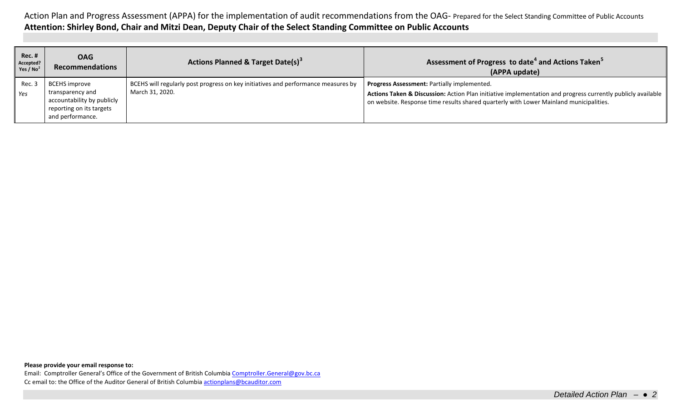Action Plan and Progress Assessment (APPA) for the implementation of audit recommendations from the OAG- Prepared for the Select Standing Committee of Public Accounts **Attention: Shirley Bond, Chair and Mitzi Dean, Deputy Chair of the Select Standing Committee on Public Accounts**

| Rec.#<br>Accepted?<br>Yes / $No2$ | <b>OAG</b><br><b>Recommendations</b>                                                                                   | <b>Actions Planned &amp; Target Date(s)<sup>3</sup></b>                                              | Assessment of Progress to date <sup>4</sup> and Actions Taken <sup>5</sup><br>(APPA update)                                                                                                                                                          |
|-----------------------------------|------------------------------------------------------------------------------------------------------------------------|------------------------------------------------------------------------------------------------------|------------------------------------------------------------------------------------------------------------------------------------------------------------------------------------------------------------------------------------------------------|
| Rec. 3<br><b>Yes</b>              | <b>BCEHS</b> improve<br>transparency and<br>accountability by publicly<br>reporting on its targets<br>and performance. | BCEHS will regularly post progress on key initiatives and performance measures by<br>March 31, 2020. | Progress Assessment: Partially implemented.<br>Actions Taken & Discussion: Action Plan initiative implementation and progress currently publicly available<br>on website. Response time results shared quarterly with Lower Mainland municipalities. |

**Please provide your email response to:**

Email: Comptroller General's Office of the Government of British Columbi[a Comptroller.General@gov.bc.ca](mailto:Comptroller.General@gov.bc.ca) Cc email to: the Office of the Auditor General of British Columbi[a actionplans@bcauditor.com](mailto:actionplans@bcauditor.com)